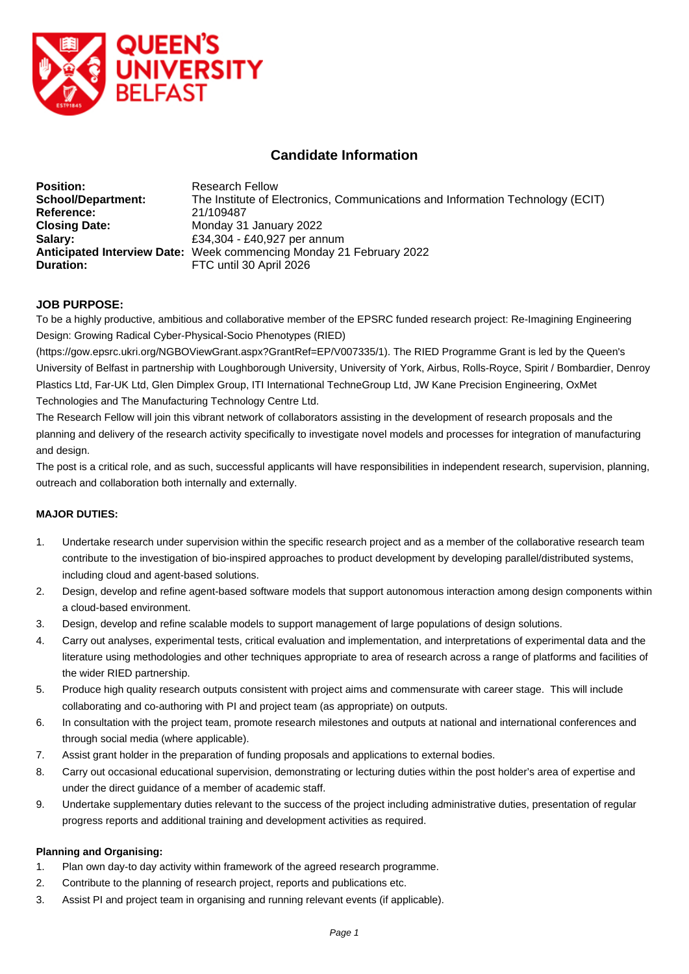

# **Candidate Information**

| <b>Position:</b>          | <b>Research Fellow</b>                                                         |
|---------------------------|--------------------------------------------------------------------------------|
| <b>School/Department:</b> | The Institute of Electronics, Communications and Information Technology (ECIT) |
| Reference:                | 21/109487                                                                      |
| <b>Closing Date:</b>      | Monday 31 January 2022                                                         |
| Salary:                   | £34,304 - £40,927 per annum                                                    |
|                           | Anticipated Interview Date: Week commencing Monday 21 February 2022            |
| <b>Duration:</b>          | FTC until 30 April 2026                                                        |

## **JOB PURPOSE:**

To be a highly productive, ambitious and collaborative member of the EPSRC funded research project: Re-Imagining Engineering Design: Growing Radical Cyber-Physical-Socio Phenotypes (RIED)

(https://gow.epsrc.ukri.org/NGBOViewGrant.aspx?GrantRef=EP/V007335/1). The RIED Programme Grant is led by the Queen's University of Belfast in partnership with Loughborough University, University of York, Airbus, Rolls-Royce, Spirit / Bombardier, Denroy Plastics Ltd, Far-UK Ltd, Glen Dimplex Group, ITI International TechneGroup Ltd, JW Kane Precision Engineering, OxMet Technologies and The Manufacturing Technology Centre Ltd.

The Research Fellow will join this vibrant network of collaborators assisting in the development of research proposals and the planning and delivery of the research activity specifically to investigate novel models and processes for integration of manufacturing and design.

The post is a critical role, and as such, successful applicants will have responsibilities in independent research, supervision, planning, outreach and collaboration both internally and externally.

#### **MAJOR DUTIES:**

- 1. Undertake research under supervision within the specific research project and as a member of the collaborative research team contribute to the investigation of bio-inspired approaches to product development by developing parallel/distributed systems, including cloud and agent-based solutions.
- 2. Design, develop and refine agent-based software models that support autonomous interaction among design components within a cloud-based environment.
- 3. Design, develop and refine scalable models to support management of large populations of design solutions.
- 4. Carry out analyses, experimental tests, critical evaluation and implementation, and interpretations of experimental data and the literature using methodologies and other techniques appropriate to area of research across a range of platforms and facilities of the wider RIED partnership.
- 5. Produce high quality research outputs consistent with project aims and commensurate with career stage. This will include collaborating and co-authoring with PI and project team (as appropriate) on outputs.
- 6. In consultation with the project team, promote research milestones and outputs at national and international conferences and through social media (where applicable).
- 7. Assist grant holder in the preparation of funding proposals and applications to external bodies.
- 8. Carry out occasional educational supervision, demonstrating or lecturing duties within the post holder's area of expertise and under the direct guidance of a member of academic staff.
- 9. Undertake supplementary duties relevant to the success of the project including administrative duties, presentation of regular progress reports and additional training and development activities as required.

#### **Planning and Organising:**

- 1. Plan own day-to day activity within framework of the agreed research programme.
- 2. Contribute to the planning of research project, reports and publications etc.
- 3. Assist PI and project team in organising and running relevant events (if applicable).